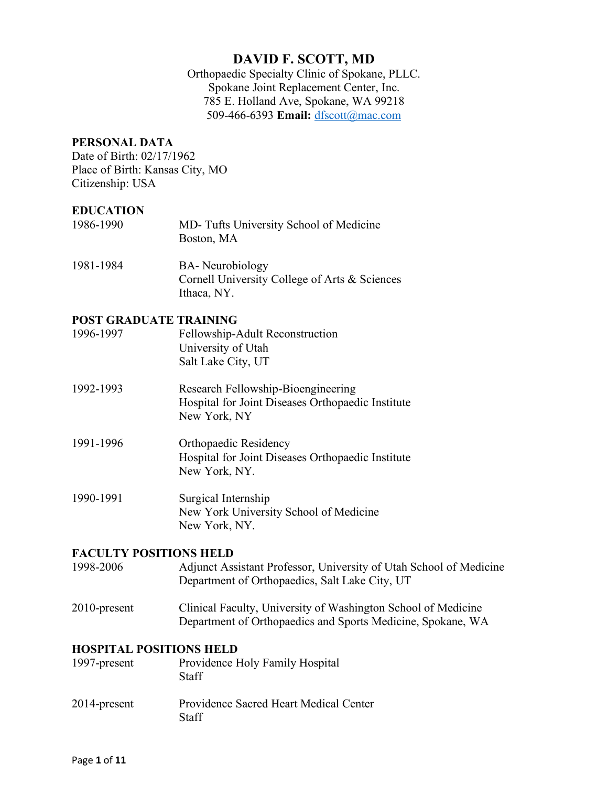Orthopaedic Specialty Clinic of Spokane, PLLC. Spokane Joint Replacement Center, Inc. 785 E. Holland Ave, Spokane, WA 99218 509-466-6393 **Email:** dfscott@mac.com

### **PERSONAL DATA**

Date of Birth: 02/17/1962 Place of Birth: Kansas City, MO Citizenship: USA

#### **EDUCATION**

| 1986-1990 | MD-Tufts University School of Medicine<br>Boston, MA                             |  |
|-----------|----------------------------------------------------------------------------------|--|
| 1981-1984 | <b>BA-</b> Neurobiology<br>$Convall$ University Collage of Arts, $\ell_5$ Saisma |  |

Cornell University College of Arts & Sciences Ithaca, NY.

#### **POST GRADUATE TRAINING**

| 1996-1997 | Fellowship-Adult Reconstruction |
|-----------|---------------------------------|
|           | University of Utah              |
|           | Salt Lake City, UT              |

| 1992-1993 | Research Fellowship-Bioengineering                |
|-----------|---------------------------------------------------|
|           | Hospital for Joint Diseases Orthopaedic Institute |
|           | New York, NY                                      |

1991-1996 Orthopaedic Residency Hospital for Joint Diseases Orthopaedic Institute New York, NY.

1990-1991 Surgical Internship New York University School of Medicine New York, NY.

## **FACULTY POSITIONS HELD**

1998-2006 Adjunct Assistant Professor, University of Utah School of Medicine Department of Orthopaedics, Salt Lake City, UT

2010-present Clinical Faculty, University of Washington School of Medicine Department of Orthopaedics and Sports Medicine, Spokane, WA

#### **HOSPITAL POSITIONS HELD**

| 1997-present | Providence Holy Family Hospital<br><b>Staff</b> |
|--------------|-------------------------------------------------|
| 2014-present | Providence Sacred Heart Medical Center<br>Staff |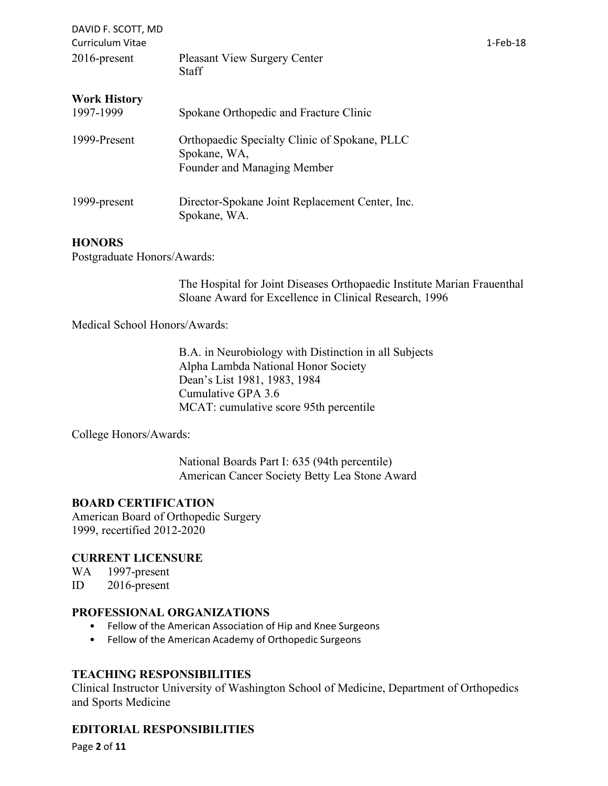| DAVID F. SCOTT, MD<br><b>Curriculum Vitae</b> |                                                                                              | 1-Feb-18 |
|-----------------------------------------------|----------------------------------------------------------------------------------------------|----------|
| $2016$ -present                               | <b>Pleasant View Surgery Center</b><br><b>Staff</b>                                          |          |
| <b>Work History</b><br>1997-1999              | Spokane Orthopedic and Fracture Clinic                                                       |          |
| 1999-Present                                  | Orthopaedic Specialty Clinic of Spokane, PLLC<br>Spokane, WA,<br>Founder and Managing Member |          |
| 1999-present                                  | Director-Spokane Joint Replacement Center, Inc.<br>Spokane, WA.                              |          |

## **HONORS**

Postgraduate Honors/Awards:

The Hospital for Joint Diseases Orthopaedic Institute Marian Frauenthal Sloane Award for Excellence in Clinical Research, 1996

Medical School Honors/Awards:

B.A. in Neurobiology with Distinction in all Subjects Alpha Lambda National Honor Society Dean's List 1981, 1983, 1984 Cumulative GPA 3.6 MCAT: cumulative score 95th percentile

College Honors/Awards:

National Boards Part I: 635 (94th percentile) American Cancer Society Betty Lea Stone Award

## **BOARD CERTIFICATION**

American Board of Orthopedic Surgery 1999, recertified 2012-2020

## **CURRENT LICENSURE**

WA 1997-present

ID 2016-present

## **PROFESSIONAL ORGANIZATIONS**

- Fellow of the American Association of Hip and Knee Surgeons
- Fellow of the American Academy of Orthopedic Surgeons

## **TEACHING RESPONSIBILITIES**

Clinical Instructor University of Washington School of Medicine, Department of Orthopedics and Sports Medicine

# **EDITORIAL RESPONSIBILITIES**

Page **2** of **11**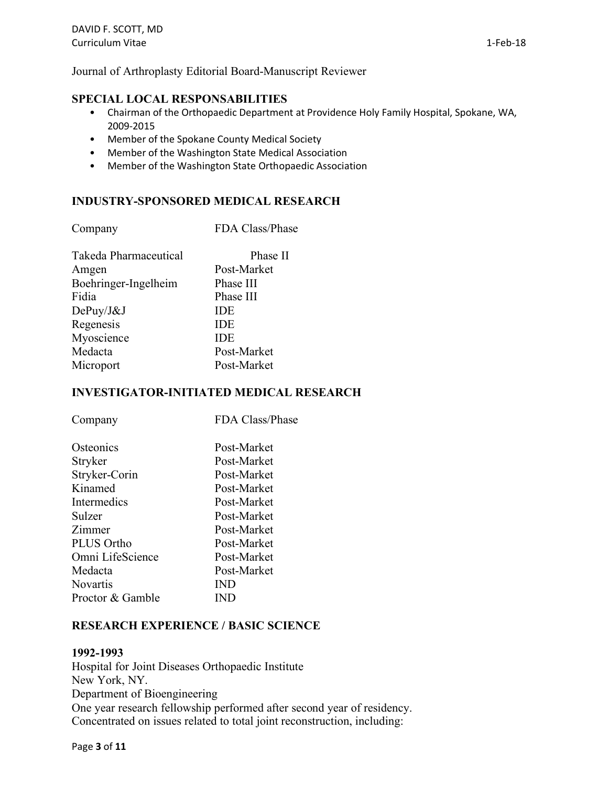Journal of Arthroplasty Editorial Board-Manuscript Reviewer

### **SPECIAL LOCAL RESPONSABILITIES**

- Chairman of the Orthopaedic Department at Providence Holy Family Hospital, Spokane, WA, 2009-2015
- Member of the Spokane County Medical Society
- Member of the Washington State Medical Association
- Member of the Washington State Orthopaedic Association

#### **INDUSTRY-SPONSORED MEDICAL RESEARCH**

| FDA Class/Phase |
|-----------------|
| Phase II        |
| Post-Market     |
| Phase III       |
| Phase III       |
| IDE             |
| <b>IDE</b>      |
| <b>IDE</b>      |
| Post-Market     |
| Post-Market     |
|                 |

### **INVESTIGATOR-INITIATED MEDICAL RESEARCH**

| Company           | FDA Class/Phase |
|-------------------|-----------------|
| Osteonics         | Post-Market     |
| Stryker           | Post-Market     |
| Stryker-Corin     | Post-Market     |
| Kinamed           | Post-Market     |
| Intermedics       | Post-Market     |
| Sulzer            | Post-Market     |
| Zimmer            | Post-Market     |
| <b>PLUS Ortho</b> | Post-Market     |
| Omni LifeScience  | Post-Market     |
| Medacta           | Post-Market     |
| <b>Novartis</b>   | IND             |
| Proctor & Gamble  | IND             |
|                   |                 |

#### **RESEARCH EXPERIENCE / BASIC SCIENCE**

#### **1992-1993**

Hospital for Joint Diseases Orthopaedic Institute New York, NY. Department of Bioengineering One year research fellowship performed after second year of residency. Concentrated on issues related to total joint reconstruction, including: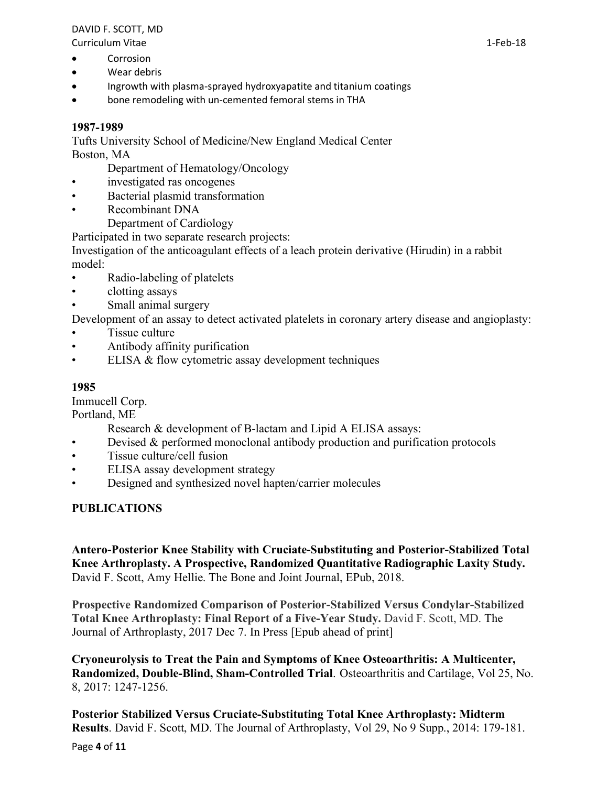Curriculum Vitae 1-Feb-18

- Corrosion
- Wear debris
- Ingrowth with plasma-sprayed hydroxyapatite and titanium coatings
- bone remodeling with un-cemented femoral stems in THA

# **1987-1989**

Tufts University School of Medicine/New England Medical Center Boston, MA

Department of Hematology/Oncology

- investigated ras oncogenes
- Bacterial plasmid transformation
- Recombinant DNA
	- Department of Cardiology

Participated in two separate research projects:

Investigation of the anticoagulant effects of a leach protein derivative (Hirudin) in a rabbit model:

- Radio-labeling of platelets
- clotting assays
- Small animal surgery

Development of an assay to detect activated platelets in coronary artery disease and angioplasty:

- Tissue culture
- Antibody affinity purification
- ELISA & flow cytometric assay development techniques

# **1985**

Immucell Corp.

Portland, ME

- Research & development of B-lactam and Lipid A ELISA assays:
- Devised & performed monoclonal antibody production and purification protocols
- Tissue culture/cell fusion
- ELISA assay development strategy
- Designed and synthesized novel hapten/carrier molecules

# **PUBLICATIONS**

**Antero-Posterior Knee Stability with Cruciate-Substituting and Posterior-Stabilized Total Knee Arthroplasty. A Prospective, Randomized Quantitative Radiographic Laxity Study.** David F. Scott, Amy Hellie. The Bone and Joint Journal, EPub, 2018.

**Prospective Randomized Comparison of Posterior-Stabilized Versus Condylar-Stabilized Total Knee Arthroplasty: Final Report of a Five-Year Study.** David F. Scott, MD. The Journal of Arthroplasty, 2017 Dec 7. In Press [Epub ahead of print]

**Cryoneurolysis to Treat the Pain and Symptoms of Knee Osteoarthritis: A Multicenter, Randomized, Double-Blind, Sham-Controlled Trial**. Osteoarthritis and Cartilage, Vol 25, No. 8, 2017: 1247-1256.

**Posterior Stabilized Versus Cruciate-Substituting Total Knee Arthroplasty: Midterm Results**. David F. Scott, MD. The Journal of Arthroplasty, Vol 29, No 9 Supp., 2014: 179-181.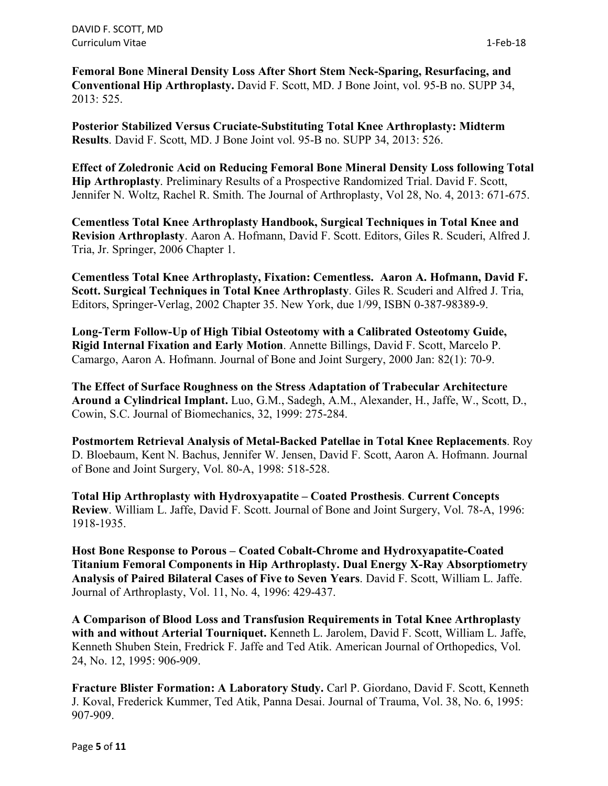DAVID F. SCOTT, MD Curriculum Vitae 1-Feb-18

**Femoral Bone Mineral Density Loss After Short Stem Neck-Sparing, Resurfacing, and Conventional Hip Arthroplasty.** David F. Scott, MD. J Bone Joint, vol. 95-B no. SUPP 34, 2013: 525.

**Posterior Stabilized Versus Cruciate-Substituting Total Knee Arthroplasty: Midterm Results**. David F. Scott, MD. J Bone Joint vol. 95-B no. SUPP 34, 2013: 526.

**Effect of Zoledronic Acid on Reducing Femoral Bone Mineral Density Loss following Total Hip Arthroplasty**. Preliminary Results of a Prospective Randomized Trial. David F. Scott, Jennifer N. Woltz, Rachel R. Smith. The Journal of Arthroplasty, Vol 28, No. 4, 2013: 671-675.

**Cementless Total Knee Arthroplasty Handbook, Surgical Techniques in Total Knee and Revision Arthroplasty**. Aaron A. Hofmann, David F. Scott. Editors, Giles R. Scuderi, Alfred J. Tria, Jr. Springer, 2006 Chapter 1.

**Cementless Total Knee Arthroplasty, Fixation: Cementless. Aaron A. Hofmann, David F. Scott. Surgical Techniques in Total Knee Arthroplasty**. Giles R. Scuderi and Alfred J. Tria, Editors, Springer-Verlag, 2002 Chapter 35. New York, due 1/99, ISBN 0-387-98389-9.

**Long-Term Follow-Up of High Tibial Osteotomy with a Calibrated Osteotomy Guide, Rigid Internal Fixation and Early Motion**. Annette Billings, David F. Scott, Marcelo P. Camargo, Aaron A. Hofmann. Journal of Bone and Joint Surgery, 2000 Jan: 82(1): 70-9.

**The Effect of Surface Roughness on the Stress Adaptation of Trabecular Architecture Around a Cylindrical Implant.** Luo, G.M., Sadegh, A.M., Alexander, H., Jaffe, W., Scott, D., Cowin, S.C. Journal of Biomechanics, 32, 1999: 275-284.

**Postmortem Retrieval Analysis of Metal-Backed Patellae in Total Knee Replacements**. Roy D. Bloebaum, Kent N. Bachus, Jennifer W. Jensen, David F. Scott, Aaron A. Hofmann. Journal of Bone and Joint Surgery, Vol. 80-A, 1998: 518-528.

**Total Hip Arthroplasty with Hydroxyapatite – Coated Prosthesis**. **Current Concepts Review**. William L. Jaffe, David F. Scott. Journal of Bone and Joint Surgery, Vol. 78-A, 1996: 1918-1935.

**Host Bone Response to Porous – Coated Cobalt-Chrome and Hydroxyapatite-Coated Titanium Femoral Components in Hip Arthroplasty. Dual Energy X-Ray Absorptiometry Analysis of Paired Bilateral Cases of Five to Seven Years**. David F. Scott, William L. Jaffe. Journal of Arthroplasty, Vol. 11, No. 4, 1996: 429-437.

**A Comparison of Blood Loss and Transfusion Requirements in Total Knee Arthroplasty with and without Arterial Tourniquet.** Kenneth L. Jarolem, David F. Scott, William L. Jaffe, Kenneth Shuben Stein, Fredrick F. Jaffe and Ted Atik. American Journal of Orthopedics, Vol. 24, No. 12, 1995: 906-909.

**Fracture Blister Formation: A Laboratory Study.** Carl P. Giordano, David F. Scott, Kenneth J. Koval, Frederick Kummer, Ted Atik, Panna Desai. Journal of Trauma, Vol. 38, No. 6, 1995: 907-909.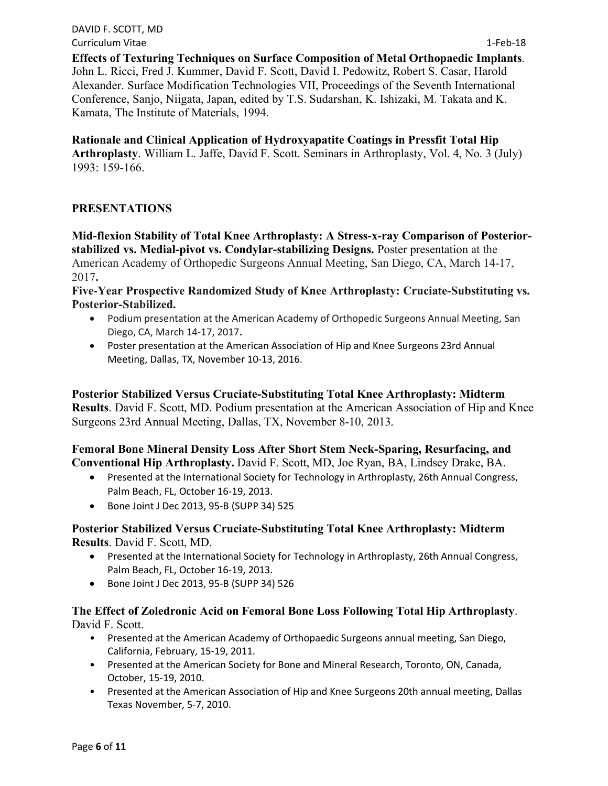DAVID F. SCOTT, MD Curriculum Vitae 1-Feb-18

**Effects of Texturing Techniques on Surface Composition of Metal Orthopaedic Implants**. John L. Ricci, Fred J. Kummer, David F. Scott, David I. Pedowitz, Robert S. Casar, Harold Alexander. Surface Modification Technologies VII, Proceedings of the Seventh International Conference, Sanjo, Niigata, Japan, edited by T.S. Sudarshan, K. Ishizaki, M. Takata and K. Kamata, The Institute of Materials, 1994.

**Rationale and Clinical Application of Hydroxyapatite Coatings in Pressfit Total Hip Arthroplasty**. William L. Jaffe, David F. Scott. Seminars in Arthroplasty, Vol. 4, No. 3 (July) 1993: 159-166.

# **PRESENTATIONS**

**Mid-flexion Stability of Total Knee Arthroplasty: A Stress-x-ray Comparison of Posteriorstabilized vs. Medial-pivot vs. Condylar-stabilizing Designs.** Poster presentation at the American Academy of Orthopedic Surgeons Annual Meeting, San Diego, CA, March 14-17, 2017**.**

**Five-Year Prospective Randomized Study of Knee Arthroplasty: Cruciate-Substituting vs. Posterior-Stabilized.**

- Podium presentation at the American Academy of Orthopedic Surgeons Annual Meeting, San Diego, CA, March 14-17, 2017**.**
- Poster presentation at the American Association of Hip and Knee Surgeons 23rd Annual Meeting, Dallas, TX, November 10-13, 2016.

**Posterior Stabilized Versus Cruciate-Substituting Total Knee Arthroplasty: Midterm Results**. David F. Scott, MD. Podium presentation at the American Association of Hip and Knee Surgeons 23rd Annual Meeting, Dallas, TX, November 8-10, 2013.

**Femoral Bone Mineral Density Loss After Short Stem Neck-Sparing, Resurfacing, and Conventional Hip Arthroplasty.** David F. Scott, MD, Joe Ryan, BA, Lindsey Drake, BA.

- Presented at the International Society for Technology in Arthroplasty, 26th Annual Congress, Palm Beach, FL, October 16-19, 2013.
- Bone Joint J Dec 2013, 95-B (SUPP 34) 525

# **Posterior Stabilized Versus Cruciate-Substituting Total Knee Arthroplasty: Midterm Results**. David F. Scott, MD.

- Presented at the International Society for Technology in Arthroplasty, 26th Annual Congress, Palm Beach, FL, October 16-19, 2013.
- Bone Joint J Dec 2013, 95-B (SUPP 34) 526

## **The Effect of Zoledronic Acid on Femoral Bone Loss Following Total Hip Arthroplasty**. David F. Scott.

- Presented at the American Academy of Orthopaedic Surgeons annual meeting, San Diego, California, February, 15-19, 2011.
- Presented at the American Society for Bone and Mineral Research, Toronto, ON, Canada, October, 15-19, 2010.
- Presented at the American Association of Hip and Knee Surgeons 20th annual meeting, Dallas Texas November, 5-7, 2010.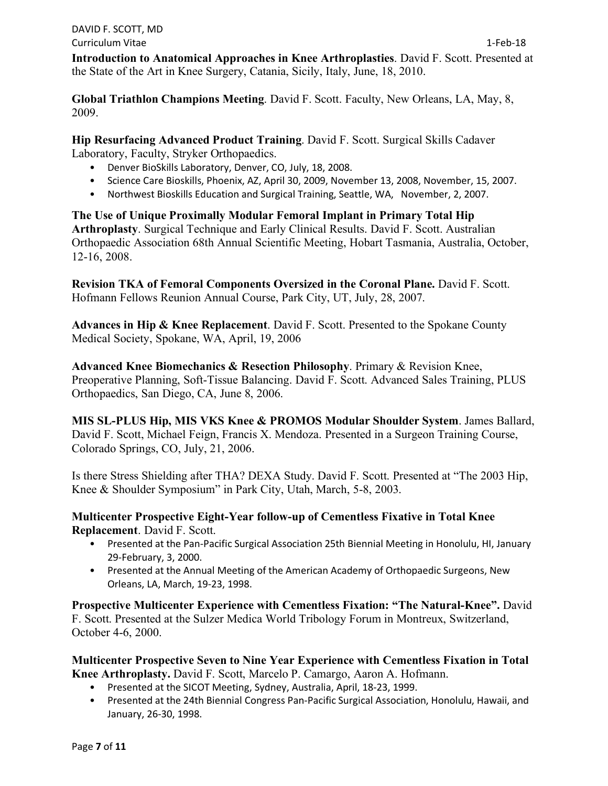**Introduction to Anatomical Approaches in Knee Arthroplasties**. David F. Scott. Presented at the State of the Art in Knee Surgery, Catania, Sicily, Italy, June, 18, 2010.

**Global Triathlon Champions Meeting**. David F. Scott. Faculty, New Orleans, LA, May, 8, 2009.

**Hip Resurfacing Advanced Product Training**. David F. Scott. Surgical Skills Cadaver Laboratory, Faculty, Stryker Orthopaedics.

- Denver BioSkills Laboratory, Denver, CO, July, 18, 2008.
- Science Care Bioskills, Phoenix, AZ, April 30, 2009, November 13, 2008, November, 15, 2007.
- Northwest Bioskills Education and Surgical Training, Seattle, WA, November, 2, 2007.

**The Use of Unique Proximally Modular Femoral Implant in Primary Total Hip Arthroplasty**. Surgical Technique and Early Clinical Results. David F. Scott. Australian Orthopaedic Association 68th Annual Scientific Meeting, Hobart Tasmania, Australia, October, 12-16, 2008.

**Revision TKA of Femoral Components Oversized in the Coronal Plane.** David F. Scott. Hofmann Fellows Reunion Annual Course, Park City, UT, July, 28, 2007.

**Advances in Hip & Knee Replacement**. David F. Scott. Presented to the Spokane County Medical Society, Spokane, WA, April, 19, 2006

**Advanced Knee Biomechanics & Resection Philosophy**. Primary & Revision Knee, Preoperative Planning, Soft-Tissue Balancing. David F. Scott. Advanced Sales Training, PLUS Orthopaedics, San Diego, CA, June 8, 2006.

**MIS SL-PLUS Hip, MIS VKS Knee & PROMOS Modular Shoulder System**. James Ballard, David F. Scott, Michael Feign, Francis X. Mendoza. Presented in a Surgeon Training Course, Colorado Springs, CO, July, 21, 2006.

Is there Stress Shielding after THA? DEXA Study. David F. Scott. Presented at "The 2003 Hip, Knee & Shoulder Symposium" in Park City, Utah, March, 5-8, 2003.

**Multicenter Prospective Eight-Year follow-up of Cementless Fixative in Total Knee Replacement**. David F. Scott.

- Presented at the Pan-Pacific Surgical Association 25th Biennial Meeting in Honolulu, HI, January 29-February, 3, 2000.
- Presented at the Annual Meeting of the American Academy of Orthopaedic Surgeons, New Orleans, LA, March, 19-23, 1998.

**Prospective Multicenter Experience with Cementless Fixation: "The Natural-Knee".** David F. Scott. Presented at the Sulzer Medica World Tribology Forum in Montreux, Switzerland, October 4-6, 2000.

**Multicenter Prospective Seven to Nine Year Experience with Cementless Fixation in Total Knee Arthroplasty.** David F. Scott, Marcelo P. Camargo, Aaron A. Hofmann.

- Presented at the SICOT Meeting, Sydney, Australia, April, 18-23, 1999.
- Presented at the 24th Biennial Congress Pan-Pacific Surgical Association, Honolulu, Hawaii, and January, 26-30, 1998.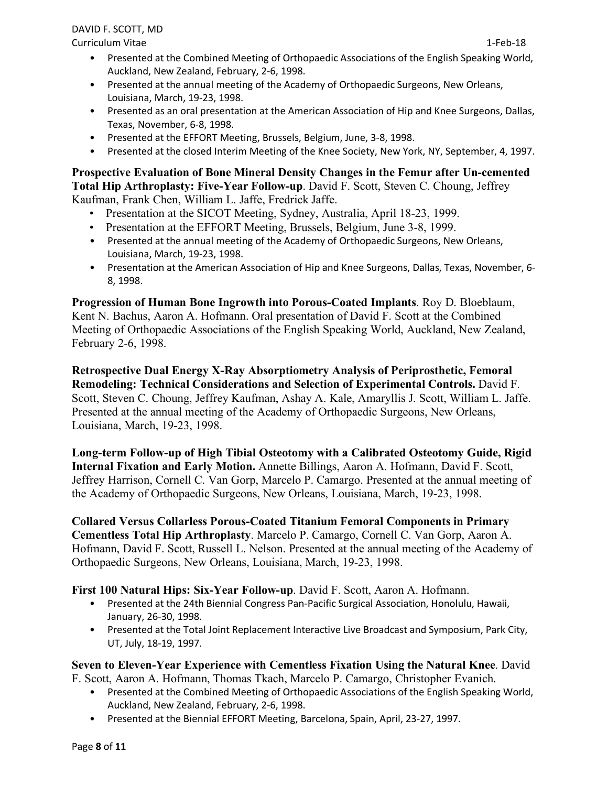Curriculum Vitae 1-Feb-18

- Presented at the Combined Meeting of Orthopaedic Associations of the English Speaking World, Auckland, New Zealand, February, 2-6, 1998.
- Presented at the annual meeting of the Academy of Orthopaedic Surgeons, New Orleans, Louisiana, March, 19-23, 1998.
- Presented as an oral presentation at the American Association of Hip and Knee Surgeons, Dallas, Texas, November, 6-8, 1998.
- Presented at the EFFORT Meeting, Brussels, Belgium, June, 3-8, 1998.
- Presented at the closed Interim Meeting of the Knee Society, New York, NY, September, 4, 1997.

**Prospective Evaluation of Bone Mineral Density Changes in the Femur after Un-cemented Total Hip Arthroplasty: Five-Year Follow-up**. David F. Scott, Steven C. Choung, Jeffrey Kaufman, Frank Chen, William L. Jaffe, Fredrick Jaffe.

- Presentation at the SICOT Meeting, Sydney, Australia, April 18-23, 1999.
- Presentation at the EFFORT Meeting, Brussels, Belgium, June 3-8, 1999.
- Presented at the annual meeting of the Academy of Orthopaedic Surgeons, New Orleans, Louisiana, March, 19-23, 1998.
- Presentation at the American Association of Hip and Knee Surgeons, Dallas, Texas, November, 6- 8, 1998.

**Progression of Human Bone Ingrowth into Porous-Coated Implants**. Roy D. Bloeblaum, Kent N. Bachus, Aaron A. Hofmann. Oral presentation of David F. Scott at the Combined Meeting of Orthopaedic Associations of the English Speaking World, Auckland, New Zealand, February 2-6, 1998.

**Retrospective Dual Energy X-Ray Absorptiometry Analysis of Periprosthetic, Femoral Remodeling: Technical Considerations and Selection of Experimental Controls.** David F. Scott, Steven C. Choung, Jeffrey Kaufman, Ashay A. Kale, Amaryllis J. Scott, William L. Jaffe. Presented at the annual meeting of the Academy of Orthopaedic Surgeons, New Orleans, Louisiana, March, 19-23, 1998.

**Long-term Follow-up of High Tibial Osteotomy with a Calibrated Osteotomy Guide, Rigid Internal Fixation and Early Motion.** Annette Billings, Aaron A. Hofmann, David F. Scott, Jeffrey Harrison, Cornell C. Van Gorp, Marcelo P. Camargo. Presented at the annual meeting of the Academy of Orthopaedic Surgeons, New Orleans, Louisiana, March, 19-23, 1998.

**Collared Versus Collarless Porous-Coated Titanium Femoral Components in Primary Cementless Total Hip Arthroplasty**. Marcelo P. Camargo, Cornell C. Van Gorp, Aaron A. Hofmann, David F. Scott, Russell L. Nelson. Presented at the annual meeting of the Academy of Orthopaedic Surgeons, New Orleans, Louisiana, March, 19-23, 1998.

# **First 100 Natural Hips: Six-Year Follow-up**. David F. Scott, Aaron A. Hofmann.

- Presented at the 24th Biennial Congress Pan-Pacific Surgical Association, Honolulu, Hawaii, January, 26-30, 1998.
- Presented at the Total Joint Replacement Interactive Live Broadcast and Symposium, Park City, UT, July, 18-19, 1997.

# **Seven to Eleven-Year Experience with Cementless Fixation Using the Natural Knee**. David

F. Scott, Aaron A. Hofmann, Thomas Tkach, Marcelo P. Camargo, Christopher Evanich.

- Presented at the Combined Meeting of Orthopaedic Associations of the English Speaking World, Auckland, New Zealand, February, 2-6, 1998.
- Presented at the Biennial EFFORT Meeting, Barcelona, Spain, April, 23-27, 1997.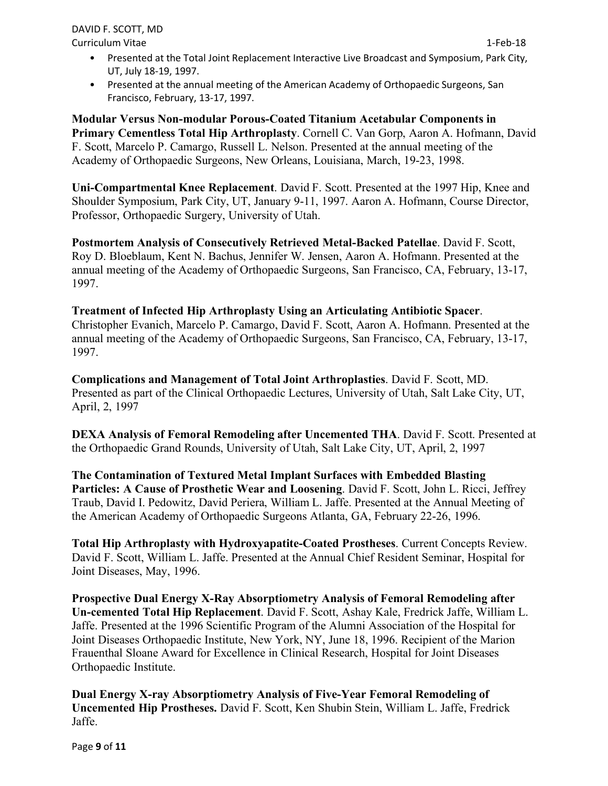Curriculum Vitae 1-Feb-18

- Presented at the Total Joint Replacement Interactive Live Broadcast and Symposium, Park City, UT, July 18-19, 1997.
- Presented at the annual meeting of the American Academy of Orthopaedic Surgeons, San Francisco, February, 13-17, 1997.

**Modular Versus Non-modular Porous-Coated Titanium Acetabular Components in Primary Cementless Total Hip Arthroplasty**. Cornell C. Van Gorp, Aaron A. Hofmann, David F. Scott, Marcelo P. Camargo, Russell L. Nelson. Presented at the annual meeting of the Academy of Orthopaedic Surgeons, New Orleans, Louisiana, March, 19-23, 1998.

**Uni-Compartmental Knee Replacement**. David F. Scott. Presented at the 1997 Hip, Knee and Shoulder Symposium, Park City, UT, January 9-11, 1997. Aaron A. Hofmann, Course Director, Professor, Orthopaedic Surgery, University of Utah.

**Postmortem Analysis of Consecutively Retrieved Metal-Backed Patellae**. David F. Scott, Roy D. Bloeblaum, Kent N. Bachus, Jennifer W. Jensen, Aaron A. Hofmann. Presented at the annual meeting of the Academy of Orthopaedic Surgeons, San Francisco, CA, February, 13-17, 1997.

**Treatment of Infected Hip Arthroplasty Using an Articulating Antibiotic Spacer**. Christopher Evanich, Marcelo P. Camargo, David F. Scott, Aaron A. Hofmann. Presented at the annual meeting of the Academy of Orthopaedic Surgeons, San Francisco, CA, February, 13-17, 1997.

**Complications and Management of Total Joint Arthroplasties**. David F. Scott, MD. Presented as part of the Clinical Orthopaedic Lectures, University of Utah, Salt Lake City, UT, April, 2, 1997

**DEXA Analysis of Femoral Remodeling after Uncemented THA**. David F. Scott. Presented at the Orthopaedic Grand Rounds, University of Utah, Salt Lake City, UT, April, 2, 1997

**The Contamination of Textured Metal Implant Surfaces with Embedded Blasting Particles: A Cause of Prosthetic Wear and Loosening**. David F. Scott, John L. Ricci, Jeffrey Traub, David I. Pedowitz, David Periera, William L. Jaffe. Presented at the Annual Meeting of the American Academy of Orthopaedic Surgeons Atlanta, GA, February 22-26, 1996.

**Total Hip Arthroplasty with Hydroxyapatite-Coated Prostheses**. Current Concepts Review. David F. Scott, William L. Jaffe. Presented at the Annual Chief Resident Seminar, Hospital for Joint Diseases, May, 1996.

**Prospective Dual Energy X-Ray Absorptiometry Analysis of Femoral Remodeling after Un-cemented Total Hip Replacement**. David F. Scott, Ashay Kale, Fredrick Jaffe, William L. Jaffe. Presented at the 1996 Scientific Program of the Alumni Association of the Hospital for Joint Diseases Orthopaedic Institute, New York, NY, June 18, 1996. Recipient of the Marion Frauenthal Sloane Award for Excellence in Clinical Research, Hospital for Joint Diseases Orthopaedic Institute.

**Dual Energy X-ray Absorptiometry Analysis of Five-Year Femoral Remodeling of Uncemented Hip Prostheses.** David F. Scott, Ken Shubin Stein, William L. Jaffe, Fredrick Jaffe.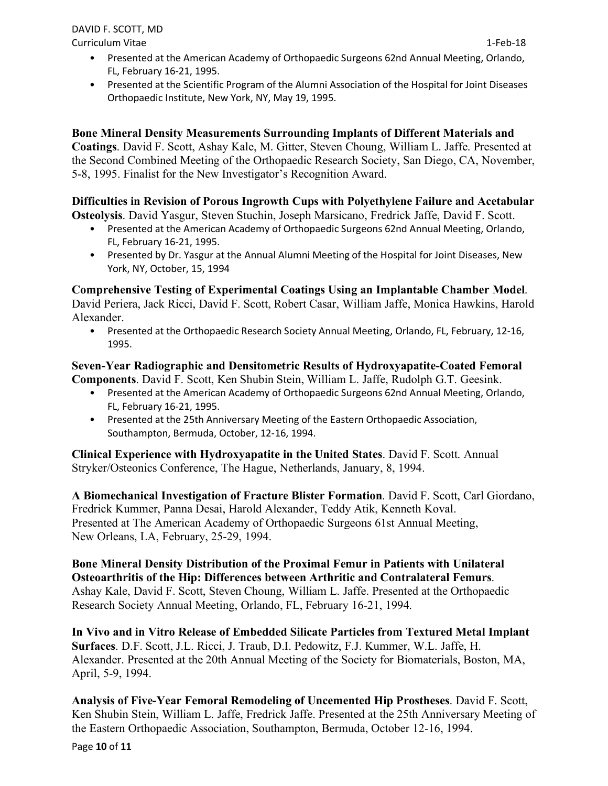Curriculum Vitae 1-Feb-18

- Presented at the American Academy of Orthopaedic Surgeons 62nd Annual Meeting, Orlando, FL, February 16-21, 1995.
- Presented at the Scientific Program of the Alumni Association of the Hospital for Joint Diseases Orthopaedic Institute, New York, NY, May 19, 1995.

## **Bone Mineral Density Measurements Surrounding Implants of Different Materials and**

**Coatings**. David F. Scott, Ashay Kale, M. Gitter, Steven Choung, William L. Jaffe. Presented at the Second Combined Meeting of the Orthopaedic Research Society, San Diego, CA, November, 5-8, 1995. Finalist for the New Investigator's Recognition Award.

#### **Difficulties in Revision of Porous Ingrowth Cups with Polyethylene Failure and Acetabular Osteolysis**. David Yasgur, Steven Stuchin, Joseph Marsicano, Fredrick Jaffe, David F. Scott.

- Presented at the American Academy of Orthopaedic Surgeons 62nd Annual Meeting, Orlando, FL, February 16-21, 1995.
- Presented by Dr. Yasgur at the Annual Alumni Meeting of the Hospital for Joint Diseases, New York, NY, October, 15, 1994

## **Comprehensive Testing of Experimental Coatings Using an Implantable Chamber Model**. David Periera, Jack Ricci, David F. Scott, Robert Casar, William Jaffe, Monica Hawkins, Harold Alexander.

• Presented at the Orthopaedic Research Society Annual Meeting, Orlando, FL, February, 12-16, 1995.

# **Seven-Year Radiographic and Densitometric Results of Hydroxyapatite-Coated Femoral Components**. David F. Scott, Ken Shubin Stein, William L. Jaffe, Rudolph G.T. Geesink.

- Presented at the American Academy of Orthopaedic Surgeons 62nd Annual Meeting, Orlando, FL, February 16-21, 1995.
- Presented at the 25th Anniversary Meeting of the Eastern Orthopaedic Association, Southampton, Bermuda, October, 12-16, 1994.

**Clinical Experience with Hydroxyapatite in the United States**. David F. Scott. Annual Stryker/Osteonics Conference, The Hague, Netherlands, January, 8, 1994.

**A Biomechanical Investigation of Fracture Blister Formation**. David F. Scott, Carl Giordano, Fredrick Kummer, Panna Desai, Harold Alexander, Teddy Atik, Kenneth Koval. Presented at The American Academy of Orthopaedic Surgeons 61st Annual Meeting, New Orleans, LA, February, 25-29, 1994.

**Bone Mineral Density Distribution of the Proximal Femur in Patients with Unilateral Osteoarthritis of the Hip: Differences between Arthritic and Contralateral Femurs**. Ashay Kale, David F. Scott, Steven Choung, William L. Jaffe. Presented at the Orthopaedic Research Society Annual Meeting, Orlando, FL, February 16-21, 1994.

**In Vivo and in Vitro Release of Embedded Silicate Particles from Textured Metal Implant Surfaces**. D.F. Scott, J.L. Ricci, J. Traub, D.I. Pedowitz, F.J. Kummer, W.L. Jaffe, H. Alexander. Presented at the 20th Annual Meeting of the Society for Biomaterials, Boston, MA, April, 5-9, 1994.

**Analysis of Five-Year Femoral Remodeling of Uncemented Hip Prostheses**. David F. Scott, Ken Shubin Stein, William L. Jaffe, Fredrick Jaffe. Presented at the 25th Anniversary Meeting of the Eastern Orthopaedic Association, Southampton, Bermuda, October 12-16, 1994.